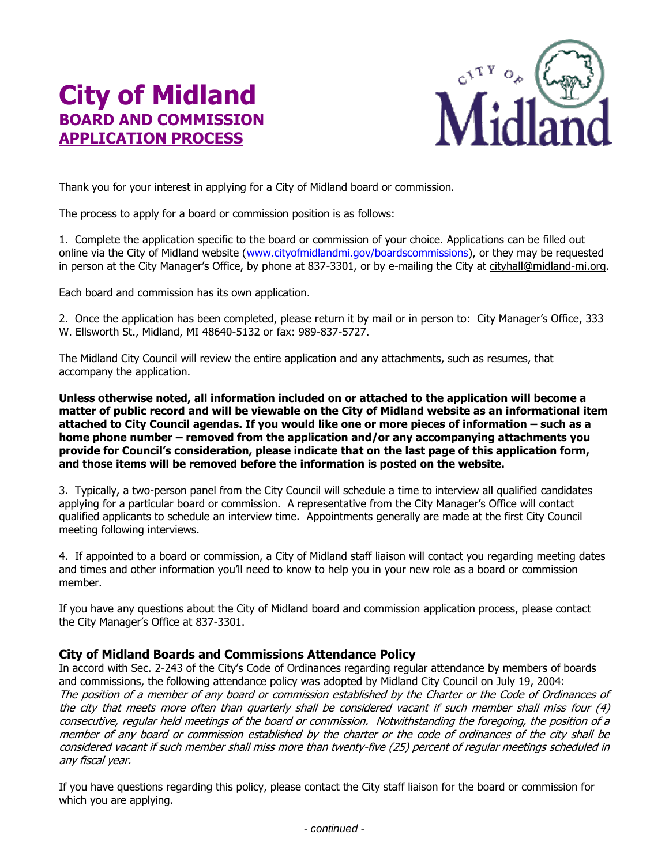## **City of Midland BOARD AND COMMISSION APPLICATION PROCESS**



Thank you for your interest in applying for a City of Midland board or commission.

The process to apply for a board or commission position is as follows:

1. Complete the application specific to the board or commission of your choice. Applications can be filled out online via the City of Midland website [\(www.cityofmidlandmi.gov/boardscommissions\)](http://www.cityofmidlandmi.gov/boardscommissions), or they may be requested in person at the City Manager's Office, by phone at 837-3301, or by e-mailing the City at [cityhall@midland-mi.org.](mailto:cityhall@midland-mi.org)

Each board and commission has its own application.

2. Once the application has been completed, please return it by mail or in person to: City Manager's Office, 333 W. Ellsworth St., Midland, MI 48640-5132 or fax: 989-837-5727.

The Midland City Council will review the entire application and any attachments, such as resumes, that accompany the application.

**Unless otherwise noted, all information included on or attached to the application will become a matter of public record and will be viewable on the City of Midland website as an informational item attached to City Council agendas. If you would like one or more pieces of information – such as a home phone number – removed from the application and/or any accompanying attachments you provide for Council's consideration, please indicate that on the last page of this application form, and those items will be removed before the information is posted on the website.** 

3. Typically, a two-person panel from the City Council will schedule a time to interview all qualified candidates applying for a particular board or commission. A representative from the City Manager's Office will contact qualified applicants to schedule an interview time. Appointments generally are made at the first City Council meeting following interviews.

4. If appointed to a board or commission, a City of Midland staff liaison will contact you regarding meeting dates and times and other information you'll need to know to help you in your new role as a board or commission member.

If you have any questions about the City of Midland board and commission application process, please contact the City Manager's Office at 837-3301.

## **City of Midland Boards and Commissions Attendance Policy**

In accord with Sec. 2-243 of the City's Code of Ordinances regarding regular attendance by members of boards and commissions, the following attendance policy was adopted by Midland City Council on July 19, 2004: The position of a member of any board or commission established by the Charter or the Code of Ordinances of the city that meets more often than quarterly shall be considered vacant if such member shall miss four (4) consecutive, regular held meetings of the board or commission. Notwithstanding the foregoing, the position of a member of any board or commission established by the charter or the code of ordinances of the city shall be considered vacant if such member shall miss more than twenty-five (25) percent of regular meetings scheduled in any fiscal year.

If you have questions regarding this policy, please contact the City staff liaison for the board or commission for which you are applying.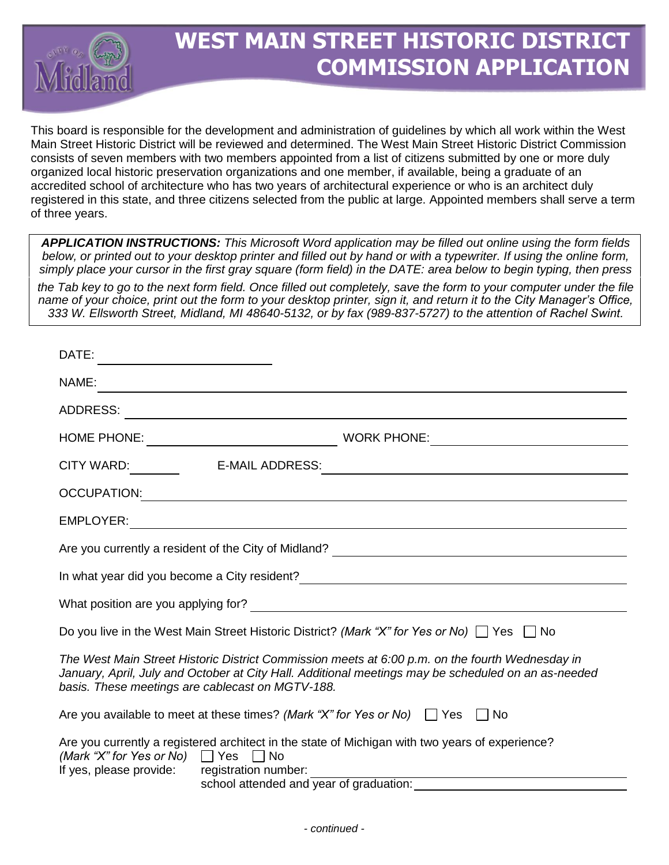

## **WEST MAIN STREET HISTORIC DISTRICT COMMISSION APPLICATION**

This board is responsible for the development and administration of guidelines by which all work within the West Main Street Historic District will be reviewed and determined. The West Main Street Historic District Commission consists of seven members with two members appointed from a list of citizens submitted by one or more duly organized local historic preservation organizations and one member, if available, being a graduate of an accredited school of architecture who has two years of architectural experience or who is an architect duly registered in this state, and three citizens selected from the public at large. Appointed members shall serve a term of three years.

*APPLICATION INSTRUCTIONS: This Microsoft Word application may be filled out online using the form fields below, or printed out to your desktop printer and filled out by hand or with a typewriter. If using the online form, simply place your cursor in the first gray square (form field) in the DATE: area below to begin typing, then press* 

*the Tab key to go to the next form field. Once filled out completely, save the form to your computer under the file name of your choice, print out the form to your desktop printer, sign it, and return it to the City Manager's Office, 333 W. Ellsworth Street, Midland, MI 48640-5132, or by fax (989-837-5727) to the attention of Rachel Swint.*

| DATE:                                                                                                                                                                                                                                                      |                                                                                                                                                                                                                                |
|------------------------------------------------------------------------------------------------------------------------------------------------------------------------------------------------------------------------------------------------------------|--------------------------------------------------------------------------------------------------------------------------------------------------------------------------------------------------------------------------------|
| NAME:<br>and the control of the control of the control of the control of the control of the control of the control of the                                                                                                                                  |                                                                                                                                                                                                                                |
| ADDRESS:<br><u> 1989 - Johann Barn, mars eta bainar eta bainar eta baina eta baina eta baina eta baina eta baina eta baina e</u>                                                                                                                           |                                                                                                                                                                                                                                |
|                                                                                                                                                                                                                                                            | WORK PHONE: NAMEL AND RESERVE TO A REPORT OF THE SERVE TO A REPORT OF THE SERVE TO A REPORT OF THE SERVE TO A REPORT OF THE SERVE TO A REPORT OF THE SERVE TO A REPORT OF THE SERVE TO A REPORT OF THE SERVE TO A REPORT OF TH |
|                                                                                                                                                                                                                                                            |                                                                                                                                                                                                                                |
|                                                                                                                                                                                                                                                            |                                                                                                                                                                                                                                |
|                                                                                                                                                                                                                                                            |                                                                                                                                                                                                                                |
|                                                                                                                                                                                                                                                            |                                                                                                                                                                                                                                |
| In what year did you become a City resident?<br><u> and the manual contract control of the control of the control of the control of the control of the control of</u>                                                                                      |                                                                                                                                                                                                                                |
|                                                                                                                                                                                                                                                            |                                                                                                                                                                                                                                |
| Do you live in the West Main Street Historic District? (Mark "X" for Yes or No) $\Box$ Yes $\Box$ No                                                                                                                                                       |                                                                                                                                                                                                                                |
| The West Main Street Historic District Commission meets at 6:00 p.m. on the fourth Wednesday in<br>January, April, July and October at City Hall. Additional meetings may be scheduled on an as-needed<br>basis. These meetings are cablecast on MGTV-188. |                                                                                                                                                                                                                                |
| Are you available to meet at these times? (Mark "X" for Yes or No) $\Box$ Yes $\Box$ No                                                                                                                                                                    |                                                                                                                                                                                                                                |
| Are you currently a registered architect in the state of Michigan with two years of experience?<br>(Mark "X" for Yes or No) $\Box$ Yes $\Box$ No<br>If yes, please provide: registration number:<br>school attended and year of graduation:                |                                                                                                                                                                                                                                |